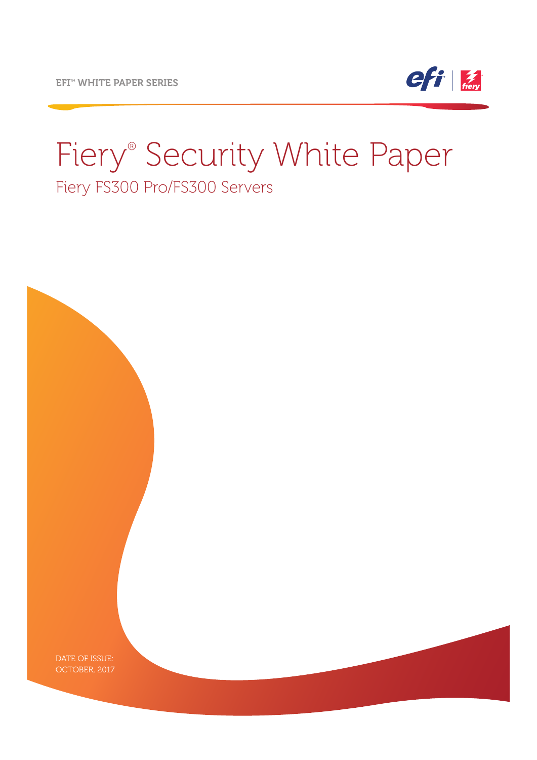

# Fiery® Security White Paper Fiery FS300 Pro/FS300 Servers

DATE OF ISSUE: OCTOBER, 2017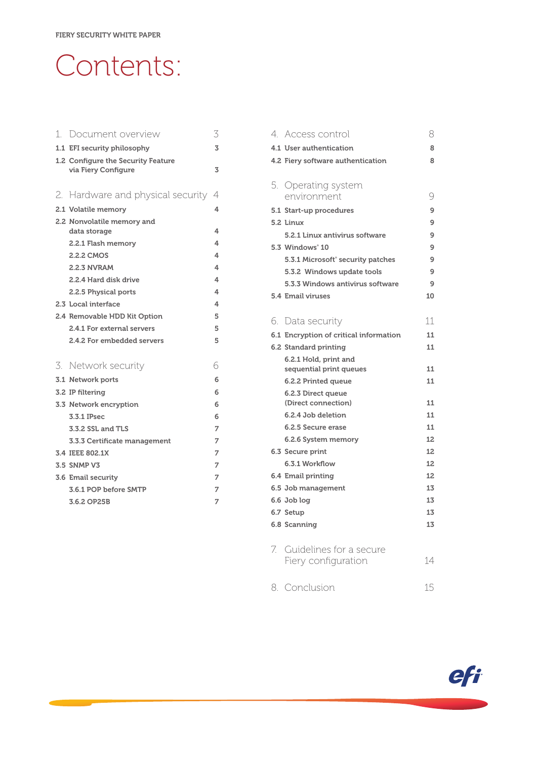# Contents:

| 1. | Document overview                                         | 3 |
|----|-----------------------------------------------------------|---|
|    | 1.1 EFI security philosophy                               | 3 |
|    | 1.2 Configure the Security Feature<br>via Fiery Configure | 3 |
|    | 2. Hardware and physical security                         | 4 |
|    | 2.1 Volatile memory                                       | 4 |
|    | 2.2 Nonvolatile memory and<br>data storage                | 4 |
|    | 2.2.1 Flash memory                                        | 4 |
|    | 2.2.2 CMOS                                                | 4 |
|    | <b>2.2.3 NVRAM</b>                                        | 4 |
|    | 2.2.4 Hard disk drive                                     | 4 |
|    | 2.2.5 Physical ports                                      | 4 |
|    | 2.3 Local interface                                       | 4 |
|    | 2.4 Removable HDD Kit Option                              | 5 |
|    | 2.4.1 For external servers                                | 5 |
|    | 2.4.2 For embedded servers                                | 5 |
| 3  | Network security                                          | 6 |
|    | 3.1 Network ports                                         | 6 |
|    | 3.2 IP filtering                                          | 6 |
|    | 3.3 Network encryption                                    | 6 |
|    | 3.3.1 IPsec                                               | 6 |
|    | 3.3.2 SSL and TLS                                         | 7 |
|    | 3.3.3 Certificate management                              | 7 |
|    | 3.4 IEEE 802.1X                                           | 7 |
|    | <b>3.5 SNMP V3</b>                                        | 7 |
|    | 3.6 Email security                                        | 7 |
|    | 3.6.1 POP before SMTP                                     | 7 |
|    | 3.6.2 OP25B                                               | 7 |

| 4. Access control                        | 8        |
|------------------------------------------|----------|
| 4.1 User authentication                  | 8        |
| 4.2 Fiery software authentication        | 8        |
|                                          |          |
| 5. Operating system                      |          |
| environment                              | 9        |
| 5.1 Start-up procedures                  | 9        |
| 5.2 Linux                                | 9        |
| 5.2.1 Linux antivirus software           | 9        |
| 5.3 Windows°10                           | 9        |
| 5.3.1 Microsoft° security patches        | 9        |
| 5.3.2 Windows update tools               | 9        |
| 5.3.3 Windows antivirus software         | 9        |
| 5.4 Email viruses                        | 10       |
|                                          |          |
| 6. Data security                         | 11       |
| 6.1 Encryption of critical information   | 11       |
| 6.2 Standard printing                    | 11       |
| 6.2.1 Hold, print and                    |          |
| sequential print queues                  | 11       |
| 6.2.2 Printed queue                      | 11       |
| 6.2.3 Direct queue                       |          |
| (Direct connection)                      | 11       |
| 6.2.4 Job deletion<br>6.2.5 Secure erase | 11<br>11 |
|                                          | 12       |
| 6.2.6 System memory                      | 12       |
| 6.3 Secure print<br>6.3.1 Workflow       | 12       |
|                                          | 12       |
| 6.4 Email printing                       | 13       |
| 6.5 Job management                       | 13       |
| 6.6 Job log                              | 13       |
| 6.7 Setup                                | 13       |
| 6.8 Scanning                             |          |
| 7. Guidelines for a secure               |          |
| Fiery configuration                      | 14       |
|                                          |          |
| 8. Conclusion                            | 15       |
|                                          |          |

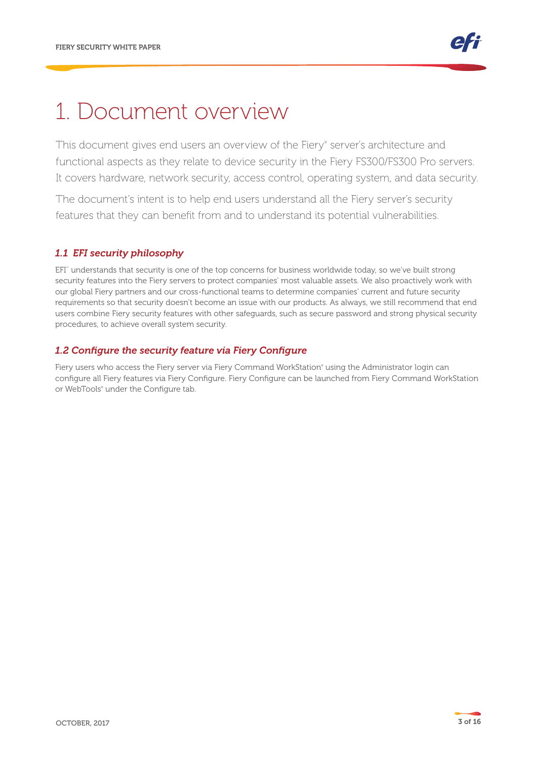### 1. Document overview

This document gives end users an overview of the Fiery® server's architecture and functional aspects as they relate to device security in the Fiery FS300/FS300 Pro servers. It covers hardware, network security, access control, operating system, and data security.

The document's intent is to help end users understand all the Fiery server's security features that they can benefit from and to understand its potential vulnerabilities.

#### *1.1 EFI security philosophy*

EFI™ understands that security is one of the top concerns for business worldwide today, so we've built strong security features into the Fiery servers to protect companies' most valuable assets. We also proactively work with our global Fiery partners and our cross-functional teams to determine companies' current and future security requirements so that security doesn't become an issue with our products. As always, we still recommend that end users combine Fiery security features with other safeguards, such as secure password and strong physical security procedures, to achieve overall system security.

#### *1.2 Configure the security feature via Fiery Configure*

Fiery users who access the Fiery server via Fiery Command WorkStation® using the Administrator login can configure all Fiery features via Fiery Configure. Fiery Configure can be launched from Fiery Command WorkStation or WebTools® under the Configure tab.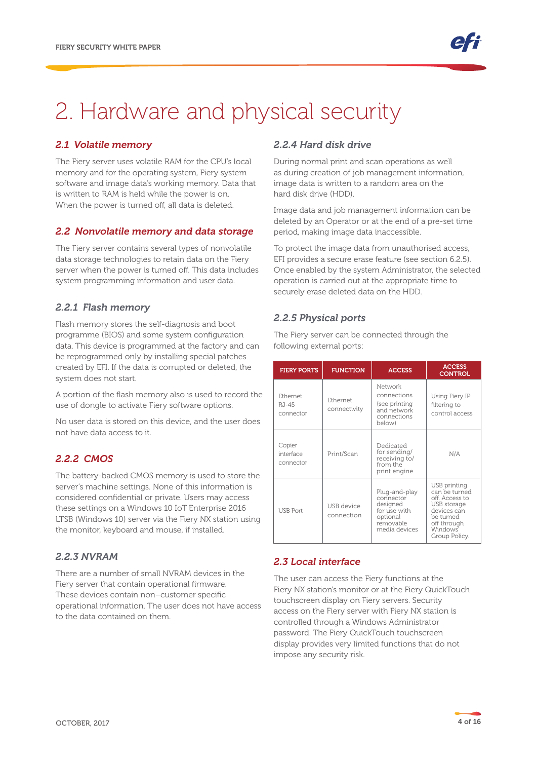# 2. Hardware and physical security

#### *2.1 Volatile memory*

The Fiery server uses volatile RAM for the CPU's local memory and for the operating system, Fiery system software and image data's working memory. Data that is written to RAM is held while the power is on. When the power is turned off, all data is deleted.

#### *2.2 Nonvolatile memory and data storage*

The Fiery server contains several types of nonvolatile data storage technologies to retain data on the Fiery server when the power is turned off. This data includes system programming information and user data.

#### *2.2.1 Flash memory*

Flash memory stores the self-diagnosis and boot programme (BIOS) and some system configuration data. This device is programmed at the factory and can be reprogrammed only by installing special patches created by EFI. If the data is corrupted or deleted, the system does not start.

A portion of the flash memory also is used to record the use of dongle to activate Fiery software options.

No user data is stored on this device, and the user does not have data access to it.

### *2.2.2 CMOS*

The battery-backed CMOS memory is used to store the server's machine settings. None of this information is considered confidential or private. Users may access these settings on a Windows 10 IoT Enterprise 2016 LTSB (Windows 10) server via the Fiery NX station using the monitor, keyboard and mouse, if installed.

### *2.2.3 NVRAM*

There are a number of small NVRAM devices in the Fiery server that contain operational firmware. These devices contain non–customer specific operational information. The user does not have access to the data contained on them.

### *2.2.4 Hard disk drive*

During normal print and scan operations as well as during creation of job management information, image data is written to a random area on the hard disk drive (HDD).

Image data and job management information can be deleted by an Operator or at the end of a pre-set time period, making image data inaccessible.

To protect the image data from unauthorised access, EFI provides a secure erase feature (see section 6.2.5). Once enabled by the system Administrator, the selected operation is carried out at the appropriate time to securely erase deleted data on the HDD.

#### *2.2.5 Physical ports*

The Fiery server can be connected through the following external ports:

| <b>FIERY PORTS</b>               | <b>FUNCTION</b>          | <b>ACCESS</b>                                                                                    | <b>ACCESS</b><br><b>CONTROL</b>                                                                                                        |
|----------------------------------|--------------------------|--------------------------------------------------------------------------------------------------|----------------------------------------------------------------------------------------------------------------------------------------|
| Ethemet<br>$RJ-45$<br>connector  | Ethernet<br>connectivity | Network<br>connections<br>(see printing<br>and network<br>connections<br>below)                  | Using Fiery IP<br>filtering to<br>control access                                                                                       |
| Copier<br>interface<br>connector | Print/Scan               | Dedicated<br>for sending/<br>receiving to/<br>from the<br>print engine                           | N/A                                                                                                                                    |
| <b>USB Port</b>                  | USB device<br>connection | Plug-and-play<br>connector<br>designed<br>for use with<br>optional<br>removable<br>media devices | USB printing<br>can be turned<br>off. Access to<br>USB storage<br>devices can<br>be turned<br>off through<br>Windows'<br>Group Policy. |

### *2.3 Local interface*

The user can access the Fiery functions at the Fiery NX station's monitor or at the Fiery QuickTouch touchscreen display on Fiery servers. Security access on the Fiery server with Fiery NX station is controlled through a Windows Administrator password. The Fiery QuickTouch touchscreen display provides very limited functions that do not impose any security risk.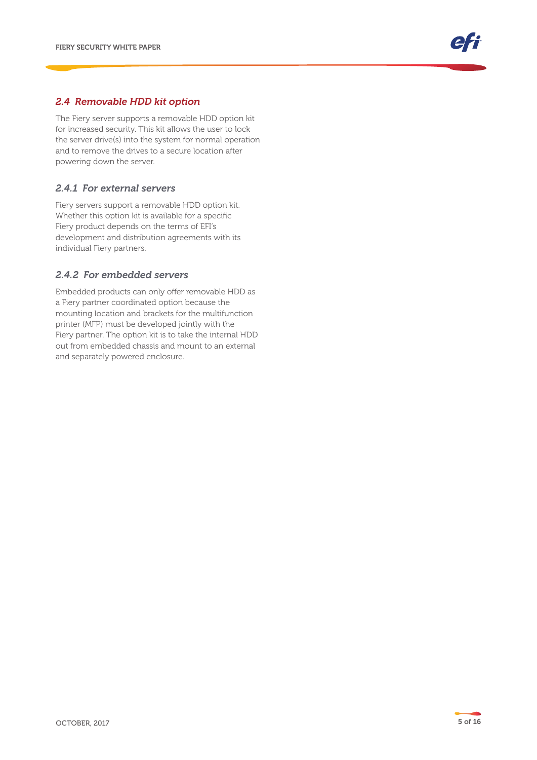#### *2.4 Removable HDD kit option*

The Fiery server supports a removable HDD option kit for increased security. This kit allows the user to lock the server drive(s) into the system for normal operation and to remove the drives to a secure location after powering down the server.

#### *2.4.1 For external servers*

Fiery servers support a removable HDD option kit. Whether this option kit is available for a specific Fiery product depends on the terms of EFI's development and distribution agreements with its individual Fiery partners.

#### *2.4.2 For embedded servers*

Embedded products can only offer removable HDD as a Fiery partner coordinated option because the mounting location and brackets for the multifunction printer (MFP) must be developed jointly with the Fiery partner. The option kit is to take the internal HDD out from embedded chassis and mount to an external and separately powered enclosure.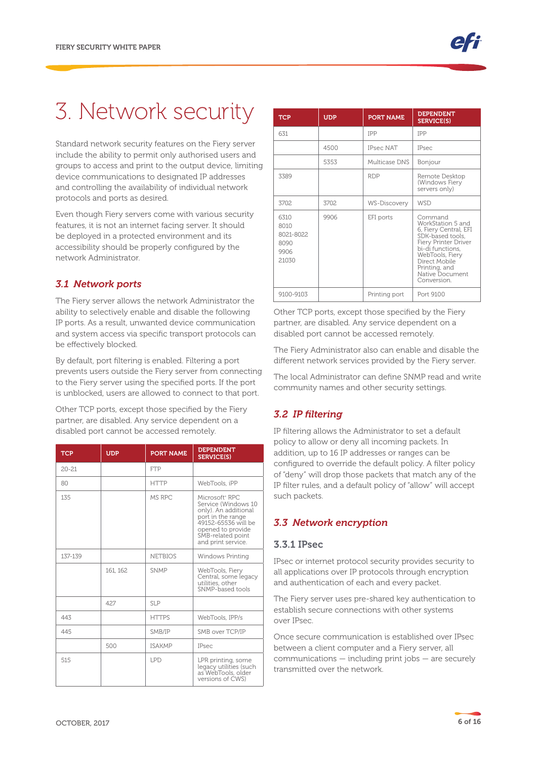# 3. Network security

Standard network security features on the Fiery server include the ability to permit only authorised users and groups to access and print to the output device, limiting device communications to designated IP addresses and controlling the availability of individual network protocols and ports as desired.

Even though Fiery servers come with various security features, it is not an internet facing server. It should be deployed in a protected environment and its accessibility should be properly configured by the network Administrator.

#### *3.1 Network ports*

The Fiery server allows the network Administrator the ability to selectively enable and disable the following IP ports. As a result, unwanted device communication and system access via specific transport protocols can be effectively blocked.

By default, port filtering is enabled. Filtering a port prevents users outside the Fiery server from connecting to the Fiery server using the specified ports. If the port is unblocked, users are allowed to connect to that port.

Other TCP ports, except those specified by the Fiery partner, are disabled. Any service dependent on a disabled port cannot be accessed remotely.

| <b>TCP</b> | <b>UDP</b> | <b>PORT NAME</b> | <b>DEPENDENT</b><br><b>SERVICE(S)</b>                                                                                                                                                 |
|------------|------------|------------------|---------------------------------------------------------------------------------------------------------------------------------------------------------------------------------------|
| $20 - 21$  |            | <b>FTP</b>       |                                                                                                                                                                                       |
| 80         |            | <b>HTTP</b>      | WebTools, iPP                                                                                                                                                                         |
| 135        |            | MS RPC           | Microsoft <sup>®</sup> RPC<br>Service (Windows 10<br>only). An additional<br>port in the range<br>49152-65536 will be<br>opened to provide<br>SMB-related point<br>and print service. |
| 137-139    |            | <b>NETBIOS</b>   | Windows Printing                                                                                                                                                                      |
|            | 161, 162   | <b>SNMP</b>      | WebTools, Fiery<br>Central, some legacy<br>utilities, other<br>SNMP-based tools                                                                                                       |
|            | 427        | <b>SLP</b>       |                                                                                                                                                                                       |
| 443        |            | <b>HTTPS</b>     | WebTools, IPP/s                                                                                                                                                                       |
| 445        |            | SMB/IP           | SMB over TCP/IP                                                                                                                                                                       |
|            | 500        | <b>ISAKMP</b>    | <b>IPsec</b>                                                                                                                                                                          |
| 515        |            | <b>LPD</b>       | LPR printing, some<br>legacy utilities (such<br>as WebTools, older<br>versions of CWS)                                                                                                |

| <b>TCP</b>                                         | <b>UDP</b> | <b>PORT NAME</b> | <b>DEPENDENT</b><br><b>SERVICE(S)</b>                                                                                                                                                                        |
|----------------------------------------------------|------------|------------------|--------------------------------------------------------------------------------------------------------------------------------------------------------------------------------------------------------------|
| 631                                                |            | <b>IPP</b>       | <b>IPP</b>                                                                                                                                                                                                   |
|                                                    | 4500       | <b>IPsec NAT</b> | <b>IPsec</b>                                                                                                                                                                                                 |
|                                                    | 5353       | Multicase DNS    | Bonjour                                                                                                                                                                                                      |
| 3389                                               |            | <b>RDP</b>       | Remote Desktop<br>(Windows Fiery<br>servers only)                                                                                                                                                            |
| 3702                                               | 3702       | WS-Discovery     | <b>WSD</b>                                                                                                                                                                                                   |
| 6310<br>8010<br>8021-8022<br>8090<br>9906<br>21030 | 9906       | EFI ports        | Command<br>WorkStation 5 and<br>6, Fiery Central, EFI<br>SDK-based tools,<br>Fiery Printer Driver<br>bi-di functions,<br>WebTools, Fiery<br>Direct Mobile<br>Printing, and<br>Native Document<br>Conversion. |
| 9100-9103                                          |            | Printing port    | Port 9100                                                                                                                                                                                                    |

Other TCP ports, except those specified by the Fiery partner, are disabled. Any service dependent on a disabled port cannot be accessed remotely.

The Fiery Administrator also can enable and disable the different network services provided by the Fiery server.

The local Administrator can define SNMP read and write community names and other security settings.

#### *3.2 IP filtering*

IP filtering allows the Administrator to set a default policy to allow or deny all incoming packets. In addition, up to 16 IP addresses or ranges can be configured to override the default policy. A filter policy of "deny" will drop those packets that match any of the IP filter rules, and a default policy of "allow" will accept such packets.

#### *3.3 Network encryption*

#### 3.3.1 IPsec

IPsec or internet protocol security provides security to all applications over IP protocols through encryption and authentication of each and every packet.

The Fiery server uses pre-shared key authentication to establish secure connections with other systems over IPsec.

Once secure communication is established over IPsec between a client computer and a Fiery server, all communications — including print jobs — are securely transmitted over the network.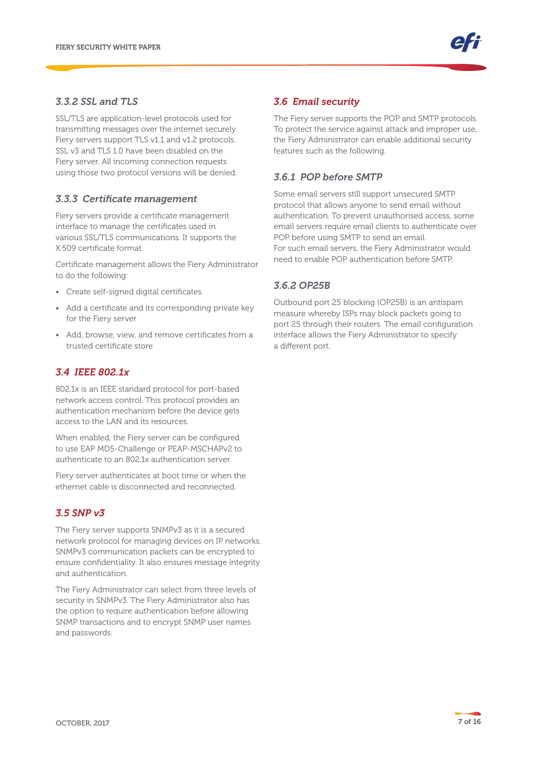#### *3.3.2 SSL and TLS*

SSL/TLS are application-level protocols used for transmitting messages over the internet securely. Fiery servers support TLS v1.1 and v1.2 protocols. SSL v3 and TLS 1.0 have been disabled on the Fiery server. All incoming connection requests using those two protocol versions will be denied.

#### *3.3.3 Certificate management*

Fiery servers provide a certificate management interface to manage the certificates used in various SSL/TLS communications. It supports the X.509 certificate format.

Certificate management allows the Fiery Administrator to do the following:

- Create self-signed digital certificates
- Add a certificate and its corresponding private key for the Fiery server
- Add, browse, view, and remove certificates from a trusted certificate store

#### *3.4 IEEE 802.1x*

802.1x is an IEEE standard protocol for port-based network access control. This protocol provides an authentication mechanism before the device gets access to the LAN and its resources.

When enabled, the Fiery server can be configured to use EAP MD5-Challenge or PEAP-MSCHAPv2 to authenticate to an 802.1x authentication server.

Fiery server authenticates at boot time or when the ethernet cable is disconnected and reconnected.

#### *3.5 SNP v3*

The Fiery server supports SNMPv3 as it is a secured network protocol for managing devices on IP networks. SNMPv3 communication packets can be encrypted to ensure confidentiality. It also ensures message integrity and authentication.

The Fiery Administrator can select from three levels of security in SNMPv3. The Fiery Administrator also has the option to require authentication before allowing SNMP transactions and to encrypt SNMP user names and passwords.

#### *3.6 Email security*

The Fiery server supports the POP and SMTP protocols. To protect the service against attack and improper use, the Fiery Administrator can enable additional security features such as the following.

#### *3.6.1 POP before SMTP*

Some email servers still support unsecured SMTP protocol that allows anyone to send email without authentication. To prevent unauthorised access, some email servers require email clients to authenticate over POP before using SMTP to send an email. For such email servers, the Fiery Administrator would need to enable POP authentication before SMTP.

#### *3.6.2 OP25B*

Outbound port 25 blocking (OP25B) is an antispam measure whereby ISPs may block packets going to port 25 through their routers. The email configuration interface allows the Fiery Administrator to specify a different port.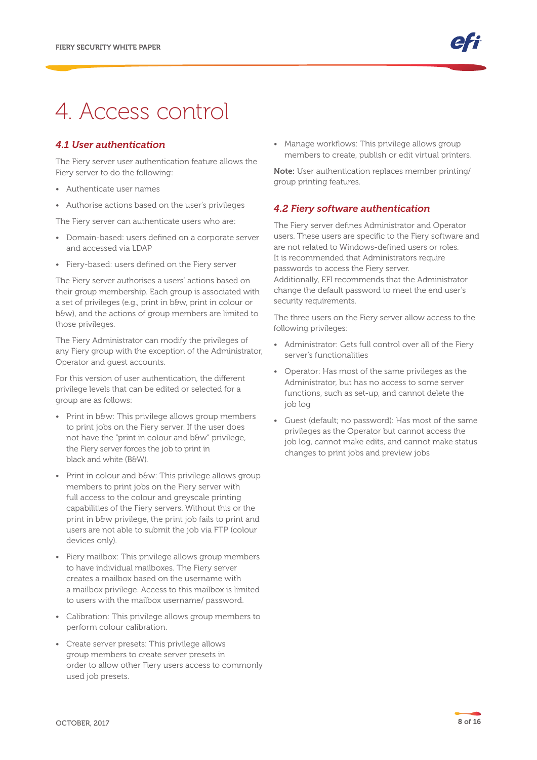### 4. Access control

#### *4.1 User authentication*

The Fiery server user authentication feature allows the Fiery server to do the following:

- Authenticate user names
- Authorise actions based on the user's privileges

The Fiery server can authenticate users who are:

- Domain-based: users defined on a corporate server and accessed via LDAP
- Fiery-based: users defined on the Fiery server

The Fiery server authorises a users' actions based on their group membership. Each group is associated with a set of privileges (e.g., print in b&w, print in colour or b&w), and the actions of group members are limited to those privileges.

The Fiery Administrator can modify the privileges of any Fiery group with the exception of the Administrator, Operator and guest accounts.

For this version of user authentication, the different privilege levels that can be edited or selected for a group are as follows:

- Print in b&w: This privilege allows group members to print jobs on the Fiery server. If the user does not have the "print in colour and b&w" privilege, the Fiery server forces the job to print in black and white (B&W).
- Print in colour and b&w: This privilege allows group members to print jobs on the Fiery server with full access to the colour and greyscale printing capabilities of the Fiery servers. Without this or the print in b&w privilege, the print job fails to print and users are not able to submit the job via FTP (colour devices only).
- Fiery mailbox: This privilege allows group members to have individual mailboxes. The Fiery server creates a mailbox based on the username with a mailbox privilege. Access to this mailbox is limited to users with the mailbox username/ password.
- Calibration: This privilege allows group members to perform colour calibration.
- Create server presets: This privilege allows group members to create server presets in order to allow other Fiery users access to commonly used job presets.

• Manage workflows: This privilege allows group members to create, publish or edit virtual printers.

Note: User authentication replaces member printing/ group printing features.

#### *4.2 Fiery software authentication*

The Fiery server defines Administrator and Operator users. These users are specific to the Fiery software and are not related to Windows-defined users or roles. It is recommended that Administrators require passwords to access the Fiery server. Additionally, EFI recommends that the Administrator change the default password to meet the end user's security requirements.

The three users on the Fiery server allow access to the following privileges:

- Administrator: Gets full control over all of the Fiery server's functionalities
- Operator: Has most of the same privileges as the Administrator, but has no access to some server functions, such as set-up, and cannot delete the job log
- Guest (default; no password): Has most of the same privileges as the Operator but cannot access the job log, cannot make edits, and cannot make status changes to print jobs and preview jobs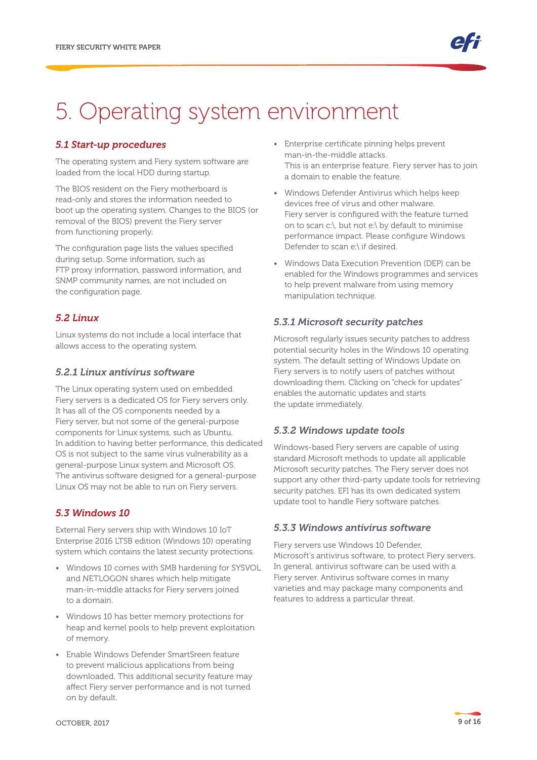# 5. Operating system environment

#### *5.1 Start-up procedures*

The operating system and Fiery system software are loaded from the local HDD during startup.

The BIOS resident on the Fiery motherboard is read-only and stores the information needed to boot up the operating system. Changes to the BIOS (or removal of the BIOS) prevent the Fiery server from functioning properly.

The configuration page lists the values specified during setup. Some information, such as FTP proxy information, password information, and SNMP community names, are not included on the configuration page.

#### *5.2 Linux*

Linux systems do not include a local interface that allows access to the operating system.

#### *5.2.1 Linux antivirus software*

The Linux operating system used on embedded Fiery servers is a dedicated OS for Fiery servers only. It has all of the OS components needed by a Fiery server, but not some of the general-purpose components for Linux systems, such as Ubuntu. In addition to having better performance, this dedicated OS is not subject to the same virus vulnerability as a general-purpose Linux system and Microsoft OS. The antivirus software designed for a general-purpose Linux OS may not be able to run on Fiery servers.

#### *5.3 Windows 10*

External Fiery servers ship with Windows 10 IoT Enterprise 2016 LTSB edition (Windows 10) operating system which contains the latest security protections.

- Windows 10 comes with SMB hardening for SYSVOL and NETLOGON shares which help mitigate man-in-middle attacks for Fiery servers joined to a domain.
- Windows 10 has better memory protections for heap and kernel pools to help prevent exploitation of memory.
- Enable Windows Defender SmartSreen feature to prevent malicious applications from being downloaded. This additional security feature may affect Fiery server performance and is not turned on by default.
- Enterprise certificate pinning helps prevent man-in-the-middle attacks. This is an enterprise feature. Fiery server has to join a domain to enable the feature.
- Windows Defender Antivirus which helps keep devices free of virus and other malware. Fiery server is configured with the feature turned on to scan c:\, but not e:\ by default to minimise performance impact. Please configure Windows Defender to scan e:\ if desired.
- Windows Data Execution Prevention (DEP) can be enabled for the Windows programmes and services to help prevent malware from using memory manipulation technique.

#### *5.3.1 Microsoft security patches*

Microsoft regularly issues security patches to address potential security holes in the Windows 10 operating system. The default setting of Windows Update on Fiery servers is to notify users of patches without downloading them. Clicking on "check for updates" enables the automatic updates and starts the update immediately.

#### *5.3.2 Windows update tools*

Windows-based Fiery servers are capable of using standard Microsoft methods to update all applicable Microsoft security patches. The Fiery server does not support any other third-party update tools for retrieving security patches. EFI has its own dedicated system update tool to handle Fiery software patches.

#### *5.3.3 Windows antivirus software*

Fiery servers use Windows 10 Defender, Microsoft's antivirus software, to protect Fiery servers. In general, antivirus software can be used with a Fiery server. Antivirus software comes in many varieties and may package many components and features to address a particular threat.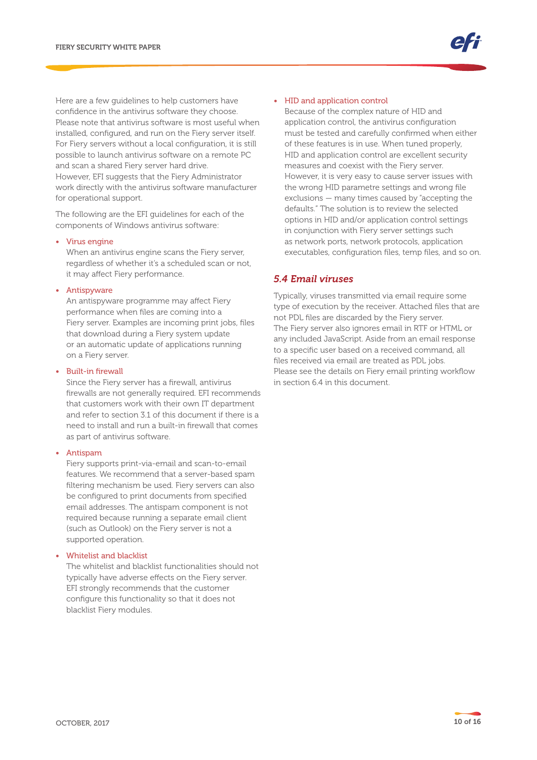Here are a few guidelines to help customers have confidence in the antivirus software they choose. Please note that antivirus software is most useful when installed, configured, and run on the Fiery server itself. For Fiery servers without a local configuration, it is still possible to launch antivirus software on a remote PC and scan a shared Fiery server hard drive. However, EFI suggests that the Fiery Administrator work directly with the antivirus software manufacturer for operational support.

The following are the EFI guidelines for each of the components of Windows antivirus software:

#### • Virus engine

When an antivirus engine scans the Fiery server, regardless of whether it's a scheduled scan or not, it may affect Fiery performance.

#### • Antispyware

An antispyware programme may affect Fiery performance when files are coming into a Fiery server. Examples are incoming print jobs, files that download during a Fiery system update or an automatic update of applications running on a Fiery server.

#### • Built-in firewall

Since the Fiery server has a firewall, antivirus firewalls are not generally required. EFI recommends that customers work with their own IT department and refer to section 3.1 of this document if there is a need to install and run a built-in firewall that comes as part of antivirus software.

#### • Antispam

Fiery supports print-via-email and scan-to-email features. We recommend that a server-based spam filtering mechanism be used. Fiery servers can also be configured to print documents from specified email addresses. The antispam component is not required because running a separate email client (such as Outlook) on the Fiery server is not a supported operation.

#### • Whitelist and blacklist

The whitelist and blacklist functionalities should not typically have adverse effects on the Fiery server. EFI strongly recommends that the customer configure this functionality so that it does not blacklist Fiery modules.

#### • HID and application control

Because of the complex nature of HID and application control, the antivirus configuration must be tested and carefully confirmed when either of these features is in use. When tuned properly, HID and application control are excellent security measures and coexist with the Fiery server. However, it is very easy to cause server issues with the wrong HID parametre settings and wrong file exclusions — many times caused by "accepting the defaults." The solution is to review the selected options in HID and/or application control settings in conjunction with Fiery server settings such as network ports, network protocols, application executables, configuration files, temp files, and so on.

#### *5.4 Email viruses*

Typically, viruses transmitted via email require some type of execution by the receiver. Attached files that are not PDL files are discarded by the Fiery server. The Fiery server also ignores email in RTF or HTML or any included JavaScript. Aside from an email response to a specific user based on a received command, all files received via email are treated as PDL jobs. Please see the details on Fiery email printing workflow in section 6.4 in this document.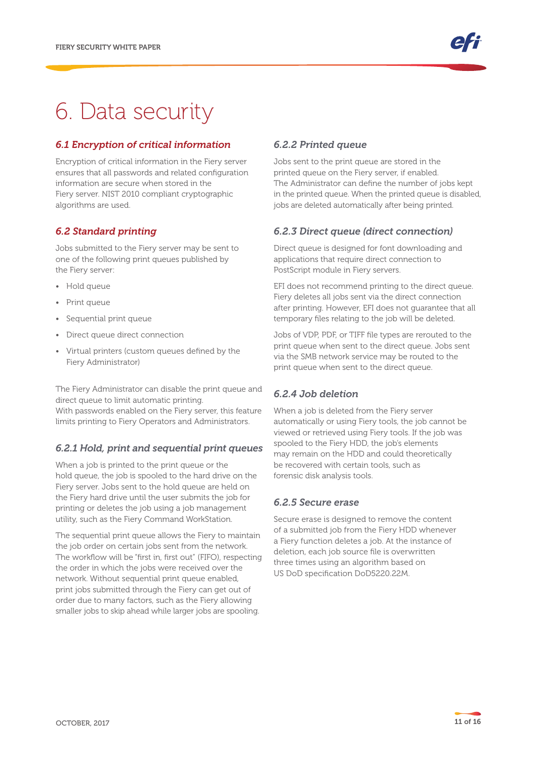# 6. Data security

### *6.1 Encryption of critical information*

Encryption of critical information in the Fiery server ensures that all passwords and related configuration information are secure when stored in the Fiery server. NIST 2010 compliant cryptographic algorithms are used.

#### *6.2 Standard printing*

Jobs submitted to the Fiery server may be sent to one of the following print queues published by the Fiery server:

- Hold queue
- Print queue
- Sequential print queue
- Direct queue direct connection
- Virtual printers (custom queues defined by the Fiery Administrator)

The Fiery Administrator can disable the print queue and direct queue to limit automatic printing. With passwords enabled on the Fiery server, this feature limits printing to Fiery Operators and Administrators.

#### *6.2.1 Hold, print and sequential print queues*

When a job is printed to the print queue or the hold queue, the job is spooled to the hard drive on the Fiery server. Jobs sent to the hold queue are held on the Fiery hard drive until the user submits the job for printing or deletes the job using a job management utility, such as the Fiery Command WorkStation.

The sequential print queue allows the Fiery to maintain the job order on certain jobs sent from the network. The workflow will be "first in, first out" (FIFO), respecting the order in which the jobs were received over the network. Without sequential print queue enabled, print jobs submitted through the Fiery can get out of order due to many factors, such as the Fiery allowing smaller jobs to skip ahead while larger jobs are spooling.

#### *6.2.2 Printed queue*

Jobs sent to the print queue are stored in the printed queue on the Fiery server, if enabled. The Administrator can define the number of jobs kept in the printed queue. When the printed queue is disabled, jobs are deleted automatically after being printed.

#### *6.2.3 Direct queue (direct connection)*

Direct queue is designed for font downloading and applications that require direct connection to PostScript module in Fiery servers.

EFI does not recommend printing to the direct queue. Fiery deletes all jobs sent via the direct connection after printing. However, EFI does not guarantee that all temporary files relating to the job will be deleted.

Jobs of VDP, PDF, or TIFF file types are rerouted to the print queue when sent to the direct queue. Jobs sent via the SMB network service may be routed to the print queue when sent to the direct queue.

### *6.2.4 Job deletion*

When a job is deleted from the Fiery server automatically or using Fiery tools, the job cannot be viewed or retrieved using Fiery tools. If the job was spooled to the Fiery HDD, the job's elements may remain on the HDD and could theoretically be recovered with certain tools, such as forensic disk analysis tools.

#### *6.2.5 Secure erase*

Secure erase is designed to remove the content of a submitted job from the Fiery HDD whenever a Fiery function deletes a job. At the instance of deletion, each job source file is overwritten three times using an algorithm based on US DoD specification DoD5220.22M.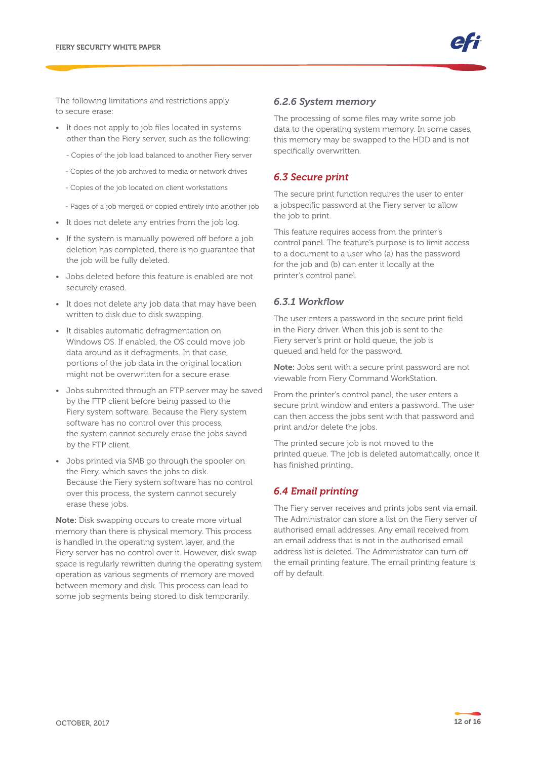The following limitations and restrictions apply to secure erase:

- It does not apply to job files located in systems other than the Fiery server, such as the following:
	- Copies of the job load balanced to another Fiery server
	- Copies of the job archived to media or network drives
	- Copies of the job located on client workstations
	- Pages of a job merged or copied entirely into another job
- It does not delete any entries from the job log.
- If the system is manually powered off before a job deletion has completed, there is no guarantee that the job will be fully deleted.
- Jobs deleted before this feature is enabled are not securely erased.
- It does not delete any job data that may have been written to disk due to disk swapping.
- It disables automatic defragmentation on Windows OS. If enabled, the OS could move job data around as it defragments. In that case, portions of the job data in the original location might not be overwritten for a secure erase.
- Jobs submitted through an FTP server may be saved by the FTP client before being passed to the Fiery system software. Because the Fiery system software has no control over this process, the system cannot securely erase the jobs saved by the FTP client.
- Jobs printed via SMB go through the spooler on the Fiery, which saves the jobs to disk. Because the Fiery system software has no control over this process, the system cannot securely erase these jobs.

Note: Disk swapping occurs to create more virtual memory than there is physical memory. This process is handled in the operating system layer, and the Fiery server has no control over it. However, disk swap space is regularly rewritten during the operating system operation as various segments of memory are moved between memory and disk. This process can lead to some job segments being stored to disk temporarily.

#### *6.2.6 System memory*

The processing of some files may write some job data to the operating system memory. In some cases, this memory may be swapped to the HDD and is not specifically overwritten.

#### *6.3 Secure print*

The secure print function requires the user to enter a jobspecific password at the Fiery server to allow the job to print.

This feature requires access from the printer's control panel. The feature's purpose is to limit access to a document to a user who (a) has the password for the job and (b) can enter it locally at the printer's control panel.

#### *6.3.1 Workflow*

The user enters a password in the secure print field in the Fiery driver. When this job is sent to the Fiery server's print or hold queue, the job is queued and held for the password.

Note: Jobs sent with a secure print password are not viewable from Fiery Command WorkStation.

From the printer's control panel, the user enters a secure print window and enters a password. The user can then access the jobs sent with that password and print and/or delete the jobs.

The printed secure job is not moved to the printed queue. The job is deleted automatically, once it has finished printing..

#### *6.4 Email printing*

The Fiery server receives and prints jobs sent via email. The Administrator can store a list on the Fiery server of authorised email addresses. Any email received from an email address that is not in the authorised email address list is deleted. The Administrator can turn off the email printing feature. The email printing feature is off by default.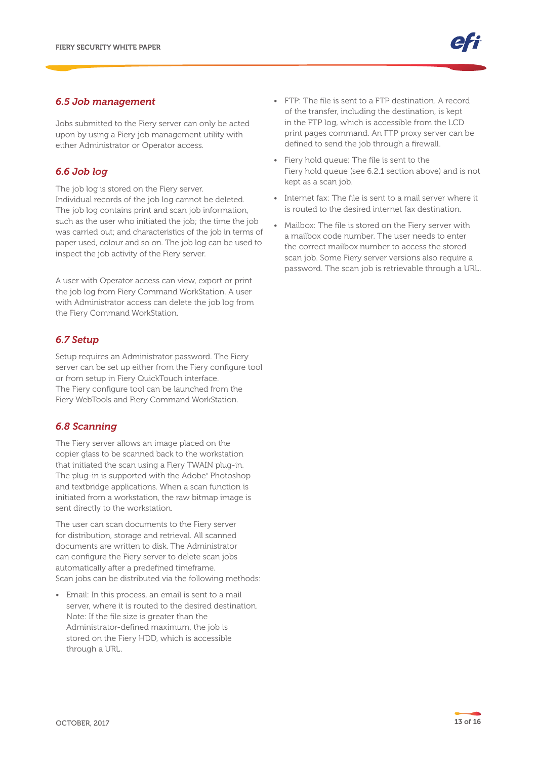#### *6.5 Job management*

Jobs submitted to the Fiery server can only be acted upon by using a Fiery job management utility with either Administrator or Operator access.

### *6.6 Job log*

The job log is stored on the Fiery server. Individual records of the job log cannot be deleted. The job log contains print and scan job information, such as the user who initiated the job; the time the job was carried out; and characteristics of the job in terms of paper used, colour and so on. The job log can be used to inspect the job activity of the Fiery server.

A user with Operator access can view, export or print the job log from Fiery Command WorkStation. A user with Administrator access can delete the job log from the Fiery Command WorkStation.

#### *6.7 Setup*

Setup requires an Administrator password. The Fiery server can be set up either from the Fiery configure tool or from setup in Fiery QuickTouch interface. The Fiery configure tool can be launched from the Fiery WebTools and Fiery Command WorkStation.

#### *6.8 Scanning*

The Fiery server allows an image placed on the copier glass to be scanned back to the workstation that initiated the scan using a Fiery TWAIN plug-in. The plug-in is supported with the Adobe® Photoshop and textbridge applications. When a scan function is initiated from a workstation, the raw bitmap image is sent directly to the workstation.

The user can scan documents to the Fiery server for distribution, storage and retrieval. All scanned documents are written to disk. The Administrator can configure the Fiery server to delete scan jobs automatically after a predefined timeframe. Scan jobs can be distributed via the following methods:

• Email: In this process, an email is sent to a mail server, where it is routed to the desired destination. Note: If the file size is greater than the Administrator-defined maximum, the job is stored on the Fiery HDD, which is accessible through a URL.

- FTP: The file is sent to a FTP destination. A record of the transfer, including the destination, is kept in the FTP log, which is accessible from the LCD print pages command. An FTP proxy server can be defined to send the job through a firewall.
- Fiery hold queue: The file is sent to the Fiery hold queue (see 6.2.1 section above) and is not kept as a scan job.
- Internet fax: The file is sent to a mail server where it is routed to the desired internet fax destination.
- Mailbox: The file is stored on the Fiery server with a mailbox code number. The user needs to enter the correct mailbox number to access the stored scan job. Some Fiery server versions also require a password. The scan job is retrievable through a URL.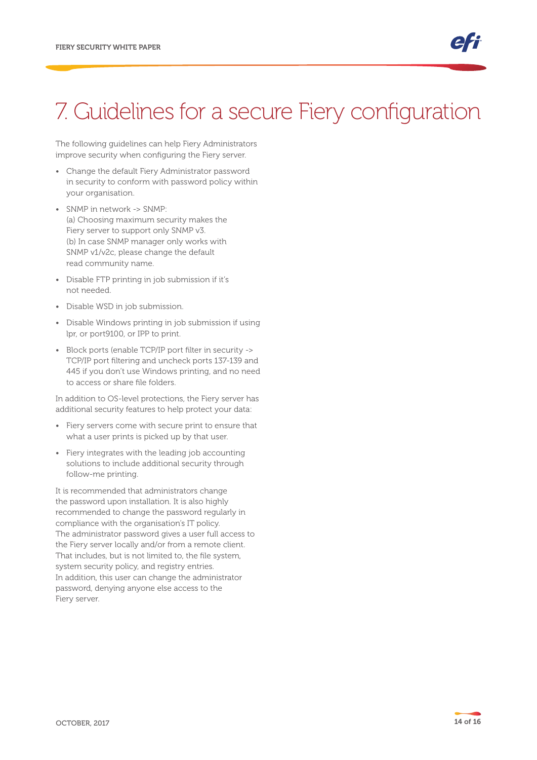## 7. Guidelines for a secure Fiery configuration

The following guidelines can help Fiery Administrators improve security when configuring the Fiery server.

- Change the default Fiery Administrator password in security to conform with password policy within your organisation.
- SNMP in network -> SNMP: (a) Choosing maximum security makes the Fiery server to support only SNMP v3. (b) In case SNMP manager only works with SNMP v1/v2c, please change the default read community name.
- Disable FTP printing in job submission if it's not needed.
- Disable WSD in job submission.
- Disable Windows printing in job submission if using lpr, or port9100, or IPP to print.
- Block ports (enable TCP/IP port filter in security -> TCP/IP port filtering and uncheck ports 137-139 and 445 if you don't use Windows printing, and no need to access or share file folders.

In addition to OS-level protections, the Fiery server has additional security features to help protect your data:

- Fiery servers come with secure print to ensure that what a user prints is picked up by that user.
- Fiery integrates with the leading job accounting solutions to include additional security through follow-me printing.

It is recommended that administrators change the password upon installation. It is also highly recommended to change the password regularly in compliance with the organisation's IT policy. The administrator password gives a user full access to the Fiery server locally and/or from a remote client. That includes, but is not limited to, the file system, system security policy, and registry entries. In addition, this user can change the administrator password, denying anyone else access to the Fiery server.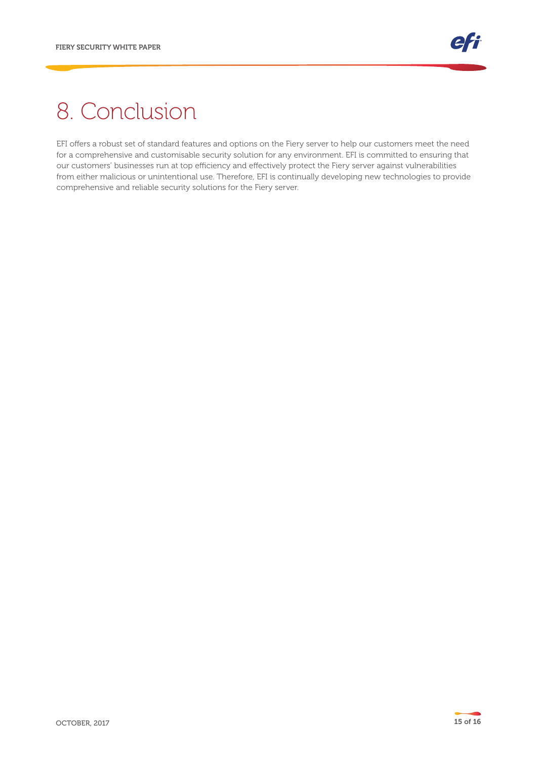# 8. Conclusion

EFI offers a robust set of standard features and options on the Fiery server to help our customers meet the need for a comprehensive and customisable security solution for any environment. EFI is committed to ensuring that our customers' businesses run at top efficiency and effectively protect the Fiery server against vulnerabilities from either malicious or unintentional use. Therefore, EFI is continually developing new technologies to provide comprehensive and reliable security solutions for the Fiery server.